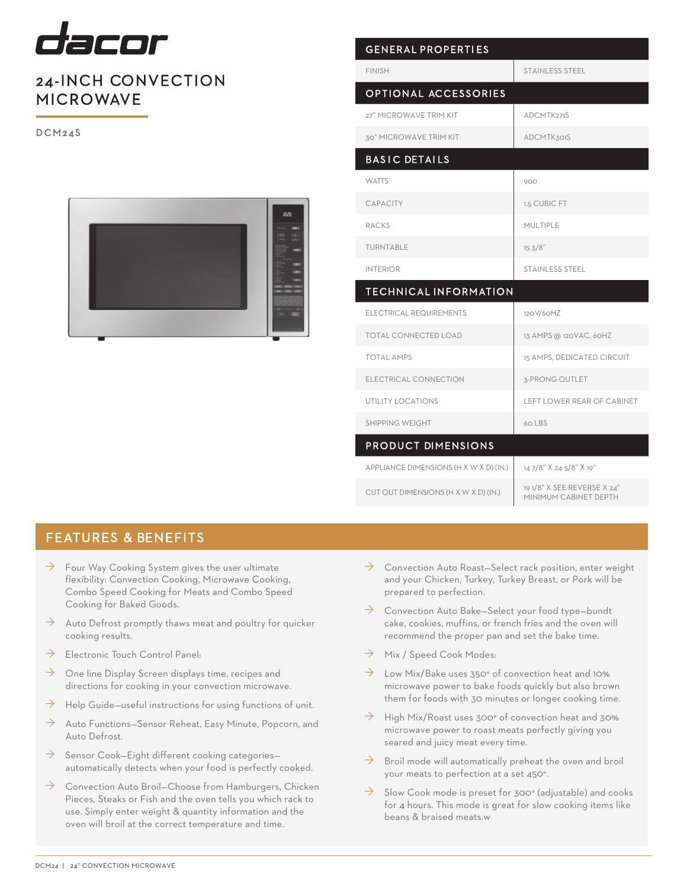

## 24-INCH CONVECTION MICROWAVE

DCM24S



| <b>GENERAL PROPERTIES</b>              |                                                      |  |  |
|----------------------------------------|------------------------------------------------------|--|--|
| <b>FINISH</b>                          | <b>STAINLESS STEEL</b>                               |  |  |
| <b>OPTIONAL ACCESSORIES</b>            |                                                      |  |  |
| 27" MICROWAVE TRIM KIT                 | ADCMTK271S                                           |  |  |
| 30" MICROWAVE TRIM KIT                 | <b>ADCMTK301S</b>                                    |  |  |
| <b>BASIC DETAILS</b>                   |                                                      |  |  |
| <b>WATTS</b>                           | 900                                                  |  |  |
| <b>CAPACITY</b>                        | 1.5 CUBIC FT                                         |  |  |
| <b>RACKS</b>                           | MULTIPLE                                             |  |  |
| TURNTABLE                              | 153/8"                                               |  |  |
| <b>INTERIOR</b>                        | STAINLESS STEEL                                      |  |  |
| <b>TECHNICAL INFORMATION</b>           |                                                      |  |  |
| <b>ELECTRICAL REQUIREMENTS</b>         | 120V/60HZ                                            |  |  |
| <b>TOTAL CONNECTED LOAD</b>            | 13 AMPS @ 120VAC, 60HZ                               |  |  |
| <b>TOTAL AMPS</b>                      | 15 AMPS, DEDICATED CIRCUIT                           |  |  |
| ELECTRICAL CONNECTION                  | 3-PRONG OUTLET                                       |  |  |
| <b>UTILITY LOCATIONS</b>               | <b>LEFT LOWER REAR OF CABINET</b>                    |  |  |
| SHIPPING WEIGHT                        | 60 LBS                                               |  |  |
| <b>PRODUCT DIMENSIONS</b>              |                                                      |  |  |
| APPLIANCE DIMENSIONS (H X W X D) (IN.) | 14 7/8" X 24 5/8" X 19"                              |  |  |
| CUT OUT DIMENSIONS (H X W X D) (IN.)   | 19 1/8" X SEE REVERSE X 24"<br>MINIMUM CABINET DEPTH |  |  |

## FEATURES & BENEFITS

- $\rightarrow$  Four Way Cooking System gives the user ultimate flexibility: Convection Cooking, Microwave Cooking, Combo Speed Cooking for Meats and Combo Speed Cooking for Baked Goods.
- $\rightarrow$  Auto Defrost promptly thaws meat and poultry for quicker cooking results.
- $\rightarrow$  Electronic Touch Control Panel:
- $\rightarrow$  One line Display Screen displays time, recipes and directions for cooking in your convection microwave.
- $\rightarrow$  Help Guide–useful instructions for using functions of unit.
- $\rightarrow$  Auto Functions–Sensor Reheat, Easy Minute, Popcorn, and Auto Defrost.
- $\rightarrow$  Sensor Cook–Eight different cooking categories– automatically detects when your food is perfectly cooked.
- $\rightarrow$  Convection Auto Broil–Choose from Hamburgers, Chicken Pieces, Steaks or Fish and the oven tells you which rack to use. Simply enter weight & quantity information and the oven will broil at the correct temperature and time.
- $\rightarrow$  Convection Auto Roast–Select rack position, enter weight and your Chicken, Turkey, Turkey Breast, or Pork will be prepared to perfection.
- $\rightarrow$  Convection Auto Bake–Select your food type–bundt cake, cookies, muffins, or french fries and the oven will recommend the proper pan and set the bake time.
- $\rightarrow$  Mix / Speed Cook Modes:
- $\rightarrow$  Low Mix/Bake uses 350° of convection heat and 10% microwave power to bake foods quickly but also brown them for foods with 30 minutes or longer cooking time.
- $\rightarrow$  High Mix/Roast uses 300° of convection heat and 30% microwave power to roast meats perfectly giving you seared and juicy meat every time.
- $\rightarrow$  Broil mode will automatically preheat the oven and broil your meats to perfection at a set 450°.
- $\rightarrow$  Slow Cook mode is preset for 300° (adjustable) and cooks for 4 hours. This mode is great for slow cooking items like beans & braised meats.w